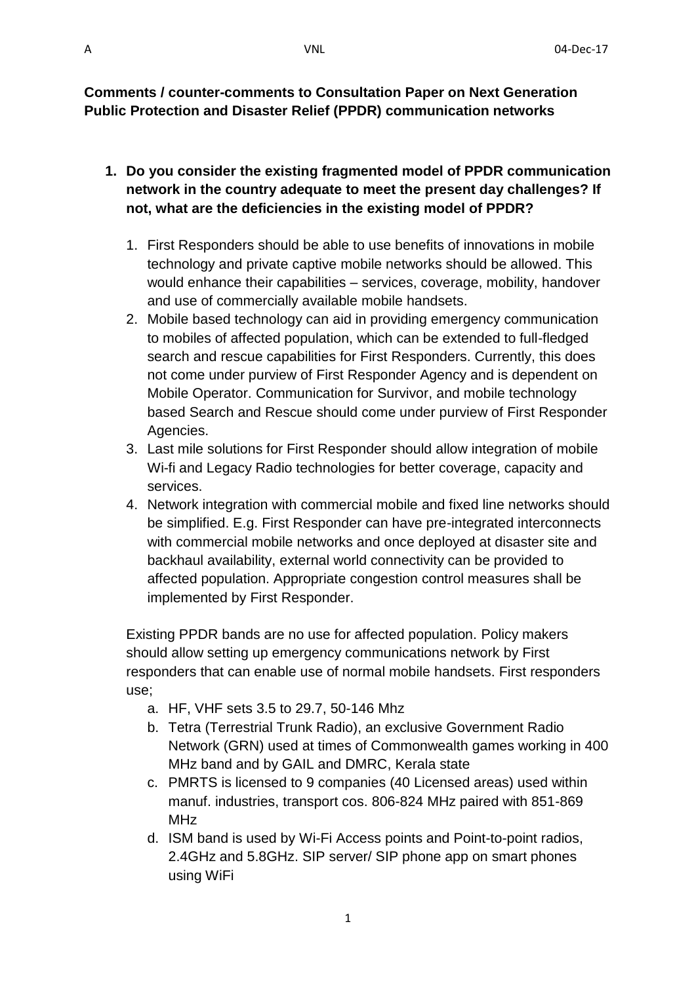**Comments / counter-comments to Consultation Paper on Next Generation Public Protection and Disaster Relief (PPDR) communication networks**

- **1. Do you consider the existing fragmented model of PPDR communication network in the country adequate to meet the present day challenges? If not, what are the deficiencies in the existing model of PPDR?**
	- 1. First Responders should be able to use benefits of innovations in mobile technology and private captive mobile networks should be allowed. This would enhance their capabilities – services, coverage, mobility, handover and use of commercially available mobile handsets.
	- 2. Mobile based technology can aid in providing emergency communication to mobiles of affected population, which can be extended to full-fledged search and rescue capabilities for First Responders. Currently, this does not come under purview of First Responder Agency and is dependent on Mobile Operator. Communication for Survivor, and mobile technology based Search and Rescue should come under purview of First Responder Agencies.
	- 3. Last mile solutions for First Responder should allow integration of mobile Wi-fi and Legacy Radio technologies for better coverage, capacity and services.
	- 4. Network integration with commercial mobile and fixed line networks should be simplified. E.g. First Responder can have pre-integrated interconnects with commercial mobile networks and once deployed at disaster site and backhaul availability, external world connectivity can be provided to affected population. Appropriate congestion control measures shall be implemented by First Responder.

Existing PPDR bands are no use for affected population. Policy makers should allow setting up emergency communications network by First responders that can enable use of normal mobile handsets. First responders use;

- a. HF, VHF sets 3.5 to 29.7, 50-146 Mhz
- b. Tetra (Terrestrial Trunk Radio), an exclusive Government Radio Network (GRN) used at times of Commonwealth games working in 400 MHz band and by GAIL and DMRC, Kerala state
- c. PMRTS is licensed to 9 companies (40 Licensed areas) used within manuf. industries, transport cos. 806-824 MHz paired with 851-869 MHz
- d. ISM band is used by Wi-Fi Access points and Point-to-point radios, 2.4GHz and 5.8GHz. SIP server/ SIP phone app on smart phones using WiFi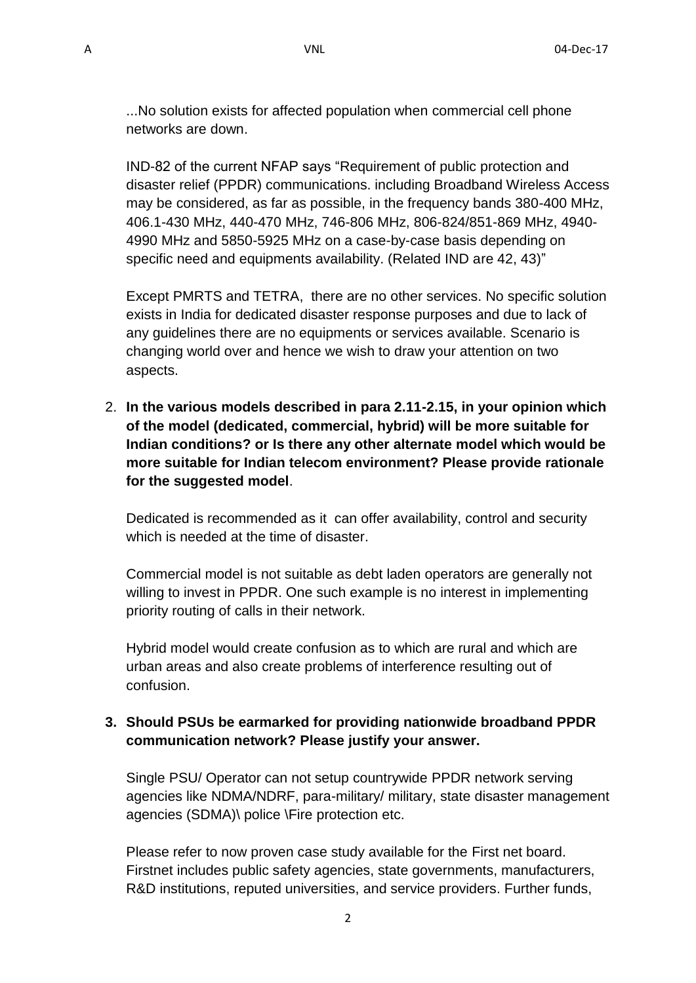...No solution exists for affected population when commercial cell phone networks are down.

IND-82 of the current NFAP says "Requirement of public protection and disaster relief (PPDR) communications. including Broadband Wireless Access may be considered, as far as possible, in the frequency bands 380-400 MHz, 406.1-430 MHz, 440-470 MHz, 746-806 MHz, 806-824/851-869 MHz, 4940- 4990 MHz and 5850-5925 MHz on a case-by-case basis depending on specific need and equipments availability. (Related IND are 42, 43)"

Except PMRTS and TETRA, there are no other services. No specific solution exists in India for dedicated disaster response purposes and due to lack of any guidelines there are no equipments or services available. Scenario is changing world over and hence we wish to draw your attention on two aspects.

2. **In the various models described in para 2.11-2.15, in your opinion which of the model (dedicated, commercial, hybrid) will be more suitable for Indian conditions? or Is there any other alternate model which would be more suitable for Indian telecom environment? Please provide rationale for the suggested model**.

Dedicated is recommended as it can offer availability, control and security which is needed at the time of disaster.

Commercial model is not suitable as debt laden operators are generally not willing to invest in PPDR. One such example is no interest in implementing priority routing of calls in their network.

Hybrid model would create confusion as to which are rural and which are urban areas and also create problems of interference resulting out of confusion.

### **3. Should PSUs be earmarked for providing nationwide broadband PPDR communication network? Please justify your answer.**

Single PSU/ Operator can not setup countrywide PPDR network serving agencies like NDMA/NDRF, para-military/ military, state disaster management agencies (SDMA)\ police \Fire protection etc.

Please refer to now proven case study available for the First net board. Firstnet includes public safety agencies, state governments, manufacturers, R&D institutions, reputed universities, and service providers. Further funds,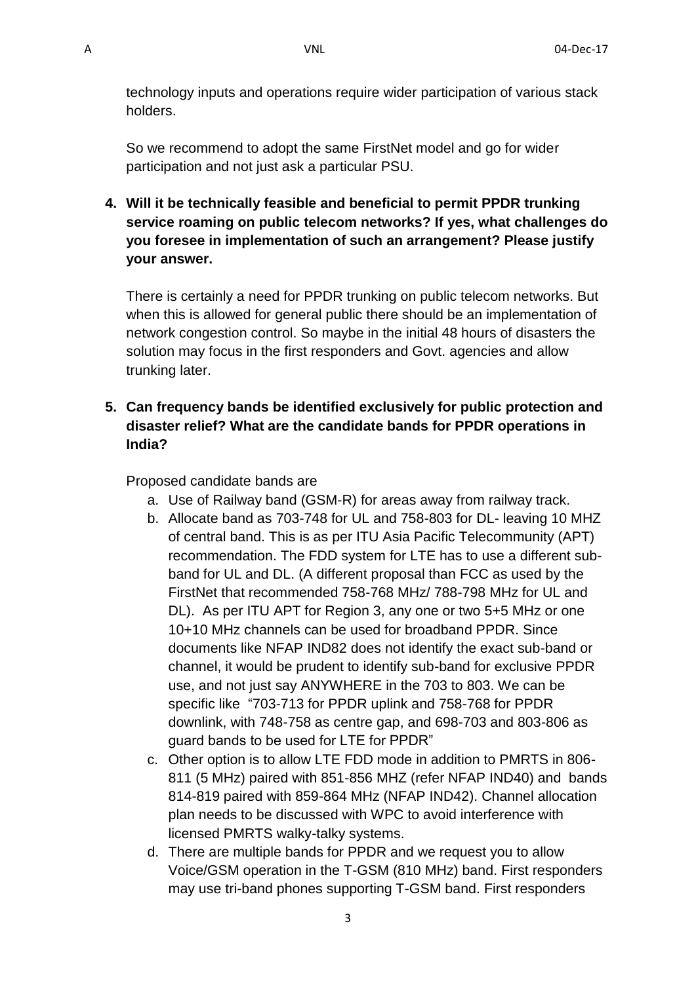technology inputs and operations require wider participation of various stack holders.

So we recommend to adopt the same FirstNet model and go for wider participation and not just ask a particular PSU.

**4. Will it be technically feasible and beneficial to permit PPDR trunking service roaming on public telecom networks? If yes, what challenges do you foresee in implementation of such an arrangement? Please justify your answer.**

There is certainly a need for PPDR trunking on public telecom networks. But when this is allowed for general public there should be an implementation of network congestion control. So maybe in the initial 48 hours of disasters the solution may focus in the first responders and Govt. agencies and allow trunking later.

**5. Can frequency bands be identified exclusively for public protection and disaster relief? What are the candidate bands for PPDR operations in India?**

Proposed candidate bands are

- a. Use of Railway band (GSM-R) for areas away from railway track.
- b. Allocate band as 703-748 for UL and 758-803 for DL- leaving 10 MHZ of central band. This is as per ITU Asia Pacific Telecommunity (APT) recommendation. The FDD system for LTE has to use a different subband for UL and DL. (A different proposal than FCC as used by the FirstNet that recommended 758-768 MHz/ 788-798 MHz for UL and DL). As per ITU APT for Region 3, any one or two 5+5 MHz or one 10+10 MHz channels can be used for broadband PPDR. Since documents like NFAP IND82 does not identify the exact sub-band or channel, it would be prudent to identify sub-band for exclusive PPDR use, and not just say ANYWHERE in the 703 to 803. We can be specific like "703-713 for PPDR uplink and 758-768 for PPDR downlink, with 748-758 as centre gap, and 698-703 and 803-806 as guard bands to be used for LTE for PPDR"
- c. Other option is to allow LTE FDD mode in addition to PMRTS in 806- 811 (5 MHz) paired with 851-856 MHZ (refer NFAP IND40) and bands 814-819 paired with 859-864 MHz (NFAP IND42). Channel allocation plan needs to be discussed with WPC to avoid interference with licensed PMRTS walky-talky systems.
- d. There are multiple bands for PPDR and we request you to allow Voice/GSM operation in the T-GSM (810 MHz) band. First responders may use tri-band phones supporting T-GSM band. First responders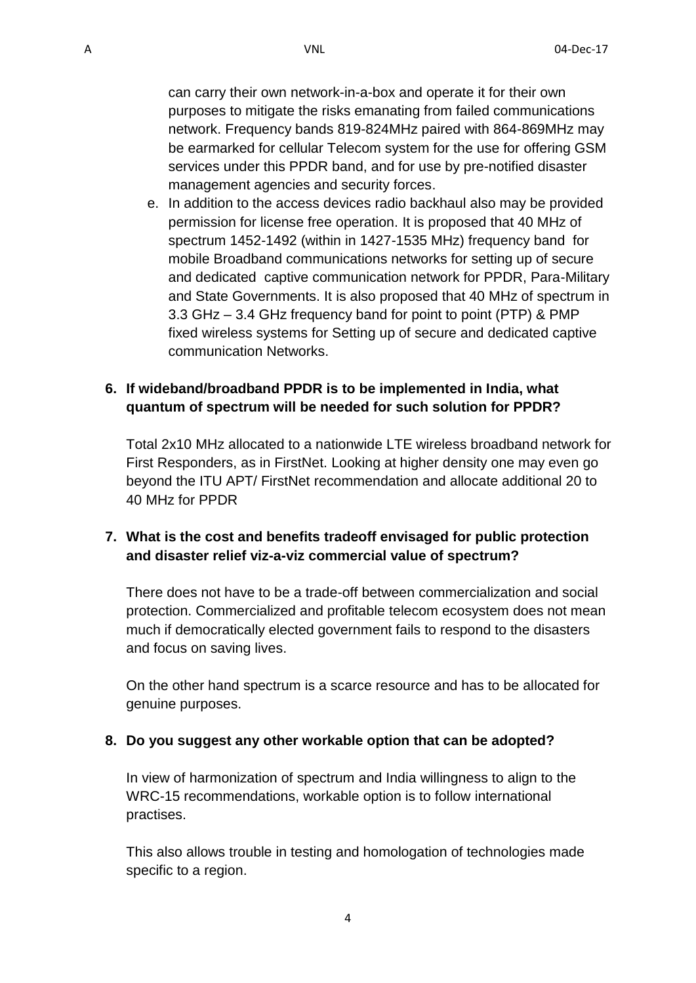network. Frequency bands 819-824MHz paired with 864-869MHz may be earmarked for cellular Telecom system for the use for offering GSM services under this PPDR band, and for use by pre-notified disaster management agencies and security forces.

e. In addition to the access devices radio backhaul also may be provided permission for license free operation. It is proposed that 40 MHz of spectrum 1452-1492 (within in 1427-1535 MHz) frequency band for mobile Broadband communications networks for setting up of secure and dedicated captive communication network for PPDR, Para-Military and State Governments. It is also proposed that 40 MHz of spectrum in 3.3 GHz – 3.4 GHz frequency band for point to point (PTP) & PMP fixed wireless systems for Setting up of secure and dedicated captive communication Networks.

### **6. If wideband/broadband PPDR is to be implemented in India, what quantum of spectrum will be needed for such solution for PPDR?**

Total 2x10 MHz allocated to a nationwide LTE wireless broadband network for First Responders, as in FirstNet. Looking at higher density one may even go beyond the ITU APT/ FirstNet recommendation and allocate additional 20 to 40 MHz for PPDR

## **7. What is the cost and benefits tradeoff envisaged for public protection and disaster relief viz-a-viz commercial value of spectrum?**

There does not have to be a trade-off between commercialization and social protection. Commercialized and profitable telecom ecosystem does not mean much if democratically elected government fails to respond to the disasters and focus on saving lives.

On the other hand spectrum is a scarce resource and has to be allocated for genuine purposes.

# **8. Do you suggest any other workable option that can be adopted?**

In view of harmonization of spectrum and India willingness to align to the WRC-15 recommendations, workable option is to follow international practises.

This also allows trouble in testing and homologation of technologies made specific to a region.